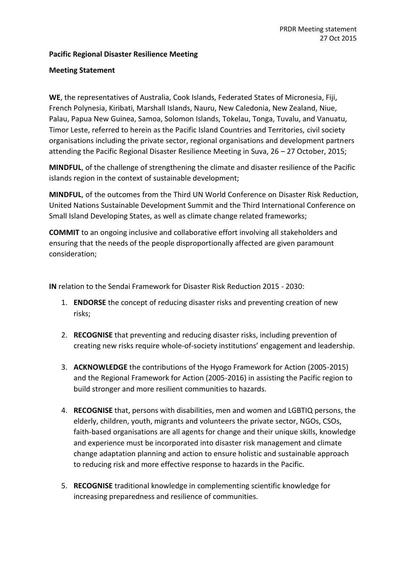## **Pacific Regional Disaster Resilience Meeting**

## **Meeting Statement**

**WE**, the representatives of Australia, Cook Islands, Federated States of Micronesia, Fiji, French Polynesia, Kiribati, Marshall Islands, Nauru, New Caledonia, New Zealand, Niue, Palau, Papua New Guinea, Samoa, Solomon Islands, Tokelau, Tonga, Tuvalu, and Vanuatu, Timor Leste, referred to herein as the Pacific Island Countries and Territories, civil society organisations including the private sector, regional organisations and development partners attending the Pacific Regional Disaster Resilience Meeting in Suva, 26 – 27 October, 2015;

**MINDFUL**, of the challenge of strengthening the climate and disaster resilience of the Pacific islands region in the context of sustainable development;

**MINDFUL**, of the outcomes from the Third UN World Conference on Disaster Risk Reduction, United Nations Sustainable Development Summit and the Third International Conference on Small Island Developing States, as well as climate change related frameworks;

**COMMIT** to an ongoing inclusive and collaborative effort involving all stakeholders and ensuring that the needs of the people disproportionally affected are given paramount consideration;

**IN** relation to the Sendai Framework for Disaster Risk Reduction 2015 - 2030:

- 1. **ENDORSE** the concept of reducing disaster risks and preventing creation of new risks;
- 2. **RECOGNISE** that preventing and reducing disaster risks, including prevention of creating new risks require whole-of-society institutions' engagement and leadership.
- 3. **ACKNOWLEDGE** the contributions of the Hyogo Framework for Action (2005-2015) and the Regional Framework for Action (2005-2016) in assisting the Pacific region to build stronger and more resilient communities to hazards.
- 4. **RECOGNISE** that, persons with disabilities, men and women and LGBTIQ persons, the elderly, children, youth, migrants and volunteers the private sector, NGOs, CSOs, faith-based organisations are all agents for change and their unique skills, knowledge and experience must be incorporated into disaster risk management and climate change adaptation planning and action to ensure holistic and sustainable approach to reducing risk and more effective response to hazards in the Pacific.
- 5. **RECOGNISE** traditional knowledge in complementing scientific knowledge for increasing preparedness and resilience of communities.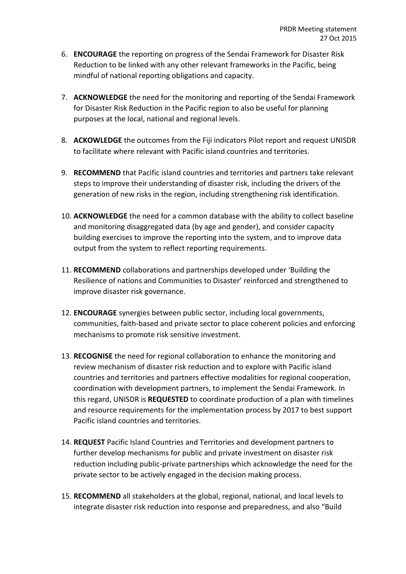- 6. **ENCOURAGE** the reporting on progress of the Sendai Framework for Disaster Risk Reduction to be linked with any other relevant frameworks in the Pacific, being mindful of national reporting obligations and capacity.
- 7. **ACKNOWLEDGE** the need for the monitoring and reporting of the Sendai Framework for Disaster Risk Reduction in the Pacific region to also be useful for planning purposes at the local, national and regional levels.
- 8. **ACKOWLEDGE** the outcomes from the Fiji indicators Pilot report and request UNISDR to facilitate where relevant with Pacific island countries and territories.
- 9. **RECOMMEND** that Pacific island countries and territories and partners take relevant steps to improve their understanding of disaster risk, including the drivers of the generation of new risks in the region, including strengthening risk identification.
- 10. **ACKNOWLEDGE** the need for a common database with the ability to collect baseline and monitoring disaggregated data (by age and gender), and consider capacity building exercises to improve the reporting into the system, and to improve data output from the system to reflect reporting requirements.
- 11. **RECOMMEND** collaborations and partnerships developed under 'Building the Resilience of nations and Communities to Disaster' reinforced and strengthened to improve disaster risk governance.
- 12. **ENCOURAGE** synergies between public sector, including local governments, communities, faith-based and private sector to place coherent policies and enforcing mechanisms to promote risk sensitive investment.
- 13. **RECOGNISE** the need for regional collaboration to enhance the monitoring and review mechanism of disaster risk reduction and to explore with Pacific island countries and territories and partners effective modalities for regional cooperation, coordination with development partners, to implement the Sendai Framework. In this regard, UNISDR is **REQUESTED** to coordinate production of a plan with timelines and resource requirements for the implementation process by 2017 to best support Pacific island countries and territories.
- 14. **REQUEST** Pacific Island Countries and Territories and development partners to further develop mechanisms for public and private investment on disaster risk reduction including public-private partnerships which acknowledge the need for the private sector to be actively engaged in the decision making process.
- 15. **RECOMMEND** all stakeholders at the global, regional, national, and local levels to integrate disaster risk reduction into response and preparedness, and also "Build